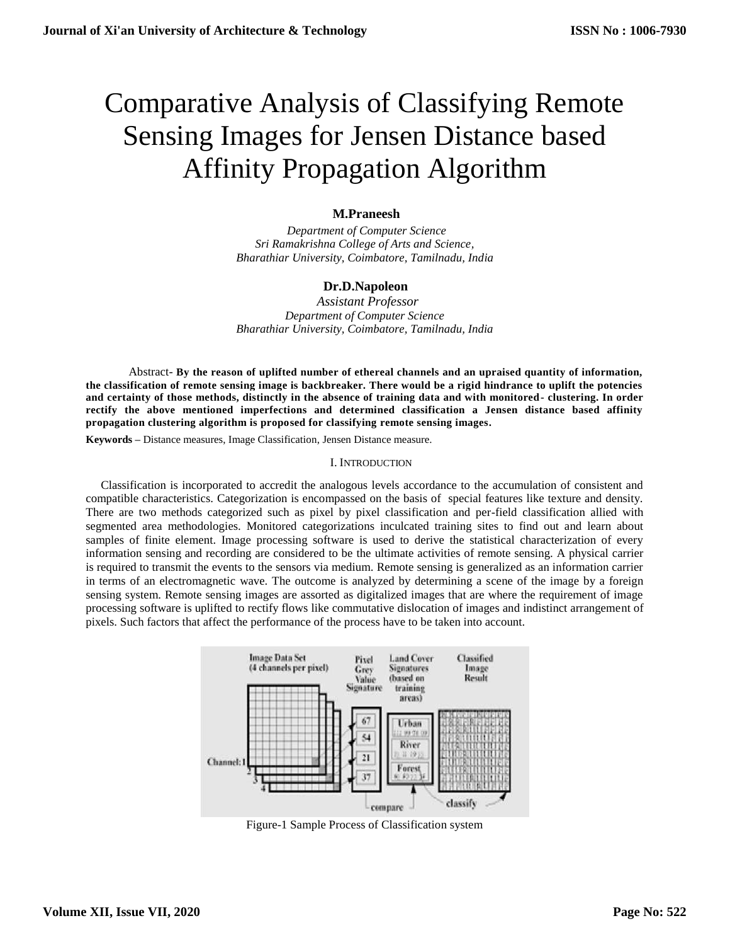# Comparative Analysis of Classifying Remote Sensing Images for Jensen Distance based Affinity Propagation Algorithm

## **M.Praneesh**

 *Department of Computer Science Sri Ramakrishna College of Arts and Science, Bharathiar University, Coimbatore, Tamilnadu, India*

## **Dr.D.Napoleon**

 *Assistant Professor Department of Computer Science Bharathiar University, Coimbatore, Tamilnadu, India*

Abstract- **By the reason of uplifted number of ethereal channels and an upraised quantity of information, the classification of remote sensing image is backbreaker. There would be a rigid hindrance to uplift the potencies and certainty of those methods, distinctly in the absence of training data and with monitored- clustering. In order rectify the above mentioned imperfections and determined classification a Jensen distance based affinity propagation clustering algorithm is proposed for classifying remote sensing images.**

**Keywords –** Distance measures, Image Classification, Jensen Distance measure.

## I. INTRODUCTION

 Classification is incorporated to accredit the analogous levels accordance to the accumulation of consistent and compatible characteristics. Categorization is encompassed on the basis of special features like texture and density. There are two methods categorized such as pixel by pixel classification and per-field classification allied with segmented area methodologies. Monitored categorizations inculcated training sites to find out and learn about samples of finite element. Image processing software is used to derive the statistical characterization of every information sensing and recording are considered to be the ultimate activities of remote sensing. A physical carrier is required to transmit the events to the sensors via medium. Remote sensing is generalized as an information carrier in terms of an electromagnetic wave. The outcome is analyzed by determining a scene of the image by a foreign sensing system. Remote sensing images are assorted as digitalized images that are where the requirement of image processing software is uplifted to rectify flows like commutative dislocation of images and indistinct arrangement of pixels. Such factors that affect the performance of the process have to be taken into account.



Figure-1 Sample Process of Classification system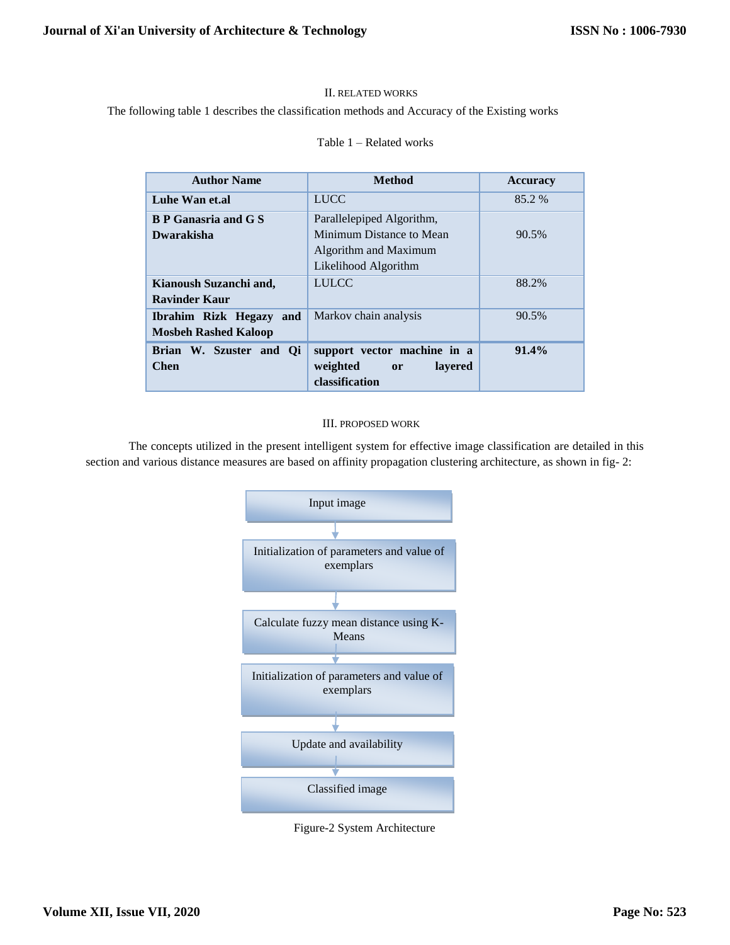## II. RELATED WORKS

## The following table 1 describes the classification methods and Accuracy of the Existing works

#### Table 1 – Related works

| <b>Method</b>                                          | <b>Accuracy</b> |
|--------------------------------------------------------|-----------------|
| <b>LUCC</b>                                            | 85.2 %          |
| Parallelepiped Algorithm,                              |                 |
| Minimum Distance to Mean                               | 90.5%           |
| Algorithm and Maximum                                  |                 |
| Likelihood Algorithm                                   |                 |
| <b>LULCC</b>                                           | 88.2%           |
|                                                        |                 |
| Markov chain analysis                                  | 90.5%           |
|                                                        |                 |
| support vector machine in a                            | 91.4%           |
| weighted<br>lavered<br><sub>or</sub><br>classification |                 |
|                                                        |                 |

## III. PROPOSED WORK

The concepts utilized in the present intelligent system for effective image classification are detailed in this section and various distance measures are based on affinity propagation clustering architecture, as shown in fig- 2:



Figure-2 System Architecture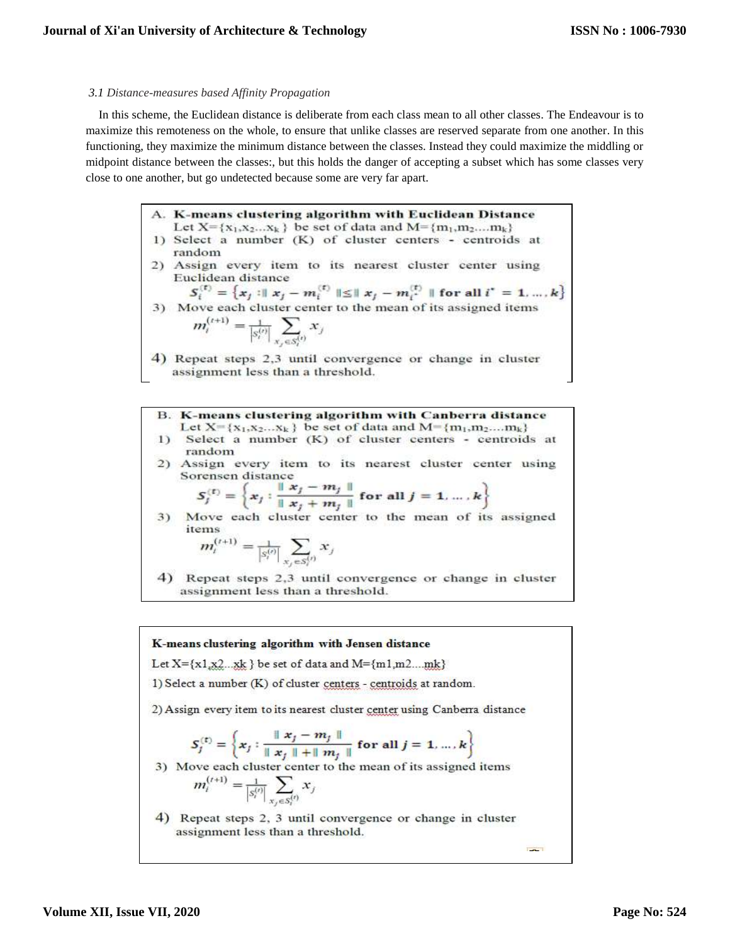#### *3.1 Distance-measures based Affinity Propagation*

In this scheme, the Euclidean distance is deliberate from each class mean to all other classes. The Endeavour is to maximize this remoteness on the whole, to ensure that unlike classes are reserved separate from one another. In this functioning, they maximize the minimum distance between the classes. Instead they could maximize the middling or midpoint distance between the classes:, but this holds the danger of accepting a subset which has some classes very close to one another, but go undetected because some are very far apart.

> A. K-means clustering algorithm with Euclidean Distance Let  $X = \{x_1, x_2, \ldots x_k\}$  be set of data and  $M = \{m_1, m_2, \ldots m_k\}$ 1) Select a number (K) of cluster centers - centroids at random 2) Assign every item to its nearest cluster center using Euclidean distance

 $S_i^{(t)} = \{x_j : ||x_j - m_i^{(t)}|| \le ||x_j - m_i^{(t)}||$  for all  $i^* = 1, ..., k\}$ <br>3) Move each cluster center to the mean of its assigned items  $m_i^{(t+1)} = \frac{1}{|s_i^{(t)}|} \sum_{x_j \in S_i^{(t)}} x_j$ 

4) Repeat steps 2,3 until convergence or change in cluster assignment less than a threshold.

**B.** K-means clustering algorithm with Canberra distance Let  $X = \{x_1, x_2, \ldots x_k\}$  be set of data and  $M = \{m_1, m_2, \ldots m_k\}$ 1) Select a number (K) of cluster centers - centroids at random

2) Assign every item to its nearest cluster center using Sorensen distance

$$
S_j^{(t)} = \left\{ x_j : \frac{\parallel x_j - m_j \parallel}{\parallel x_j + m_j \parallel} \text{ for all } j = 1, ..., k \right\}
$$

Move each cluster center to the mean of its assigned  $3)$ items

$$
m_i^{(t+1)} = \frac{1}{|s_i^{(t)}|} \sum_{x_j \in S_i^{(t)}} x_j
$$

4) Repeat steps 2,3 until convergence or change in cluster assignment less than a threshold.

K-means clustering algorithm with Jensen distance Let  $X = \{x1, x2, xk\}$  be set of data and  $M = \{m1, m2, mk\}$ 1) Select a number (K) of cluster centers - centroids at random. 2) Assign every item to its nearest cluster center using Canberra distance  $S_j^{(t)}=\left\{x_j: \frac{\parallel x_j-m_j\parallel}{\parallel x_j\parallel +\parallel m_j\parallel} \text{ for all } j=1,\ldots,k\right\}$ 3) Move each cluster center to the mean of its assigned items  $m_i^{(t+1)} = \frac{1}{|s_i^{(t)}|} \sum_{x_j \in S_i^{(t)}} x_j$ 4) Repeat steps 2, 3 until convergence or change in cluster assignment less than a threshold. **Take I** 

**Volume XII, Issue VII, 2020**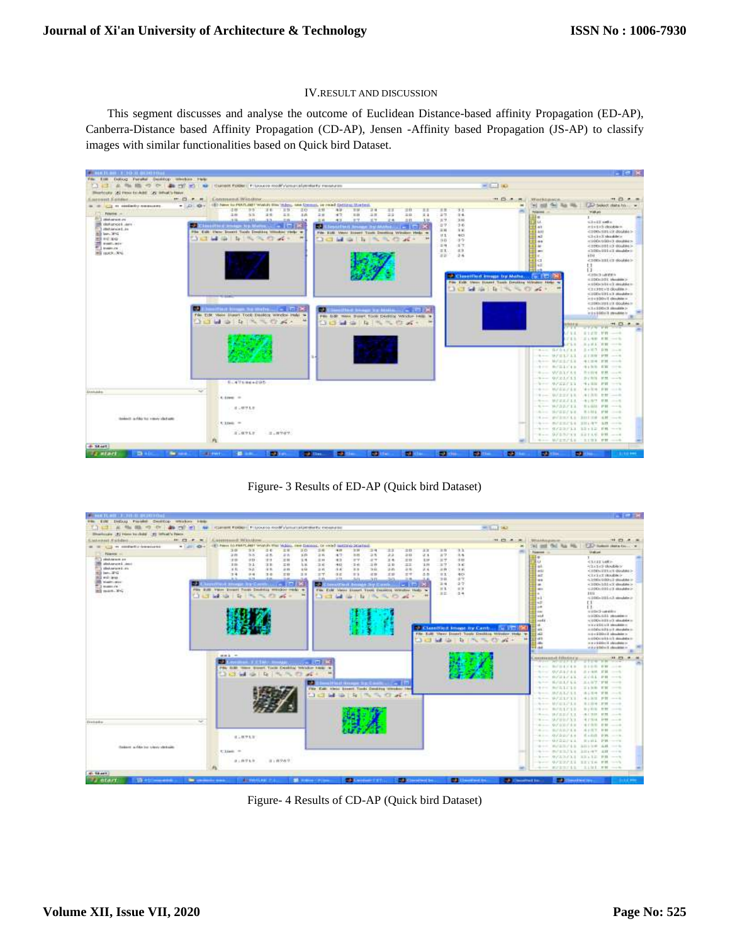#### IV.RESULT AND DISCUSSION

This segment discusses and analyse the outcome of Euclidean Distance-based affinity Propagation (ED-AP), Canberra-Distance based Affinity Propagation (CD-AP), Jensen -Affinity based Propagation (JS-AP) to classify images with similar functionalities based on Quick bird Dataset.



Figure- 3 Results of ED-AP (Quick bird Dataset)

|                                                           |                          |                                                             |             |                           |                                                    |                   |             |                                                     |                        |                  |                    |                                           |                                         |                           |                                                         |                                                                              | <b>PERMITS</b>                                                                                 |
|-----------------------------------------------------------|--------------------------|-------------------------------------------------------------|-------------|---------------------------|----------------------------------------------------|-------------------|-------------|-----------------------------------------------------|------------------------|------------------|--------------------|-------------------------------------------|-----------------------------------------|---------------------------|---------------------------------------------------------|------------------------------------------------------------------------------|------------------------------------------------------------------------------------------------|
| DeDux Farade Desitop weaken hink-<br>EINE<br><b>Allen</b> |                          |                                                             |             |                           |                                                    |                   |             |                                                     |                        |                  |                    |                                           |                                         |                           |                                                         |                                                                              |                                                                                                |
| and the                                                   | <b>PST IPT AM</b>        | I IZJENIHE POKOCI I FI LIOUTO ROM VIENITZALICINATU PIOGRADE |             |                           | <b>A PERSONAL PROPERTY IN</b>                      |                   |             |                                                     |                        |                  |                    |                                           | $=1.11$ MJ                              |                           |                                                         |                                                                              |                                                                                                |
| Diversionally. [A] Friend by child. [A] Infinal's Frieds. |                          |                                                             |             |                           |                                                    |                   |             |                                                     |                        |                  |                    |                                           |                                         |                           |                                                         |                                                                              |                                                                                                |
| <b>EMANUELESSEN</b>                                       | <b>BC 22 - P - M</b>     | A. a HIRESHAWER TRESSAULT                                   |             |                           |                                                    |                   |             |                                                     |                        |                  |                    |                                           | ■ 四 本 東                                 |                           | <b>STAHANAHUE</b>                                       |                                                                              | 198 971<br>$-$                                                                                 |
| 1921 LTD, we constantly democrated                        | <b>A CARD</b><br>$-426$  | (E) Peace LO FMET, MET World's that<br>3.01<br>33           | $=$ $+$     | 工业<br>$\exists$ 6         | Vidgo, see timogo, or early matrice residual<br>三座 | 418               | 33W         | 22<br>74                                            | $\equiv$ $\Box$        | 33               | 工作                 | 3 <sup>2</sup>                            |                                         | $\rightarrow$             | w                                                       | T.E.P. Hollows Shakes Co., L. W.                                             |                                                                                                |
| <b>Pilgram of</b>                                         |                          | 20<br>36.36                                                 | 48.         | a n<br>$16 - 16$          | 2.6                                                | 47                | 3.45        | 22<br>コル                                            | $\rightarrow$ $\alpha$ | 2.4              | $\approx 7$        | 3.4                                       |                                         |                           | <b>Fallence</b><br>Пæ                                   | <b>Undian</b><br>T                                                           |                                                                                                |
| plate between any<br>statute and used                     |                          | 19<br>93                                                    | 11.1        | $\equiv$ H<br>7.1         | 兰林                                                 | 43                | 27          | 24<br>$a -$                                         | $=0$                   | 1.25             | 出す                 | 310                                       |                                         |                           | <b>Lu</b>                                               |                                                                              |                                                                                                |
| silving and an                                            |                          | 3.19<br>3.1<br>X6<br>3.2                                    | 3.81<br>48  | 工业<br>3.W<br>2.81<br>$+9$ | 2.6<br>正成                                          | $40-$<br>48       | 24.1<br>3.3 | 11.32<br>$-10$<br><b>Diff</b><br>$\exists$ iii      | $\pm$<br>$-26$         | 3.86<br>2.4      | 33<br>三百           | 3.6<br>夜夜                                 |                                         |                           | E a b                                                   | <b>ATATAS INVENITS</b>                                                       |                                                                                                |
| <b>Will land and</b>                                      |                          | 34<br><b>P4</b>                                             | 日本          | $= 0$<br>三国               | $=7$                                               | うに                | 77.3        | 北方<br>XB                                            | $=$ $+$                | 选择               | 京友                 | 403                                       |                                         |                           | <b>ALL</b><br>-act                                      | CENNISTICS GOVING<br>Clicked (Rouble)                                        |                                                                                                |
| 20 ed au<br><b>IR stattutes</b>                           |                          | 31.75                                                       |             |                           |                                                    | $-75$             |             | 3.13                                                |                        |                  | 34                 | d/Y                                       |                                         |                           | in a                                                    | $-100$ is $000 - 3$ -diameter in                                             |                                                                                                |
| TI massive                                                | - 1                      | <b>CONTRACTOR</b>                                           |             |                           | w                                                  |                   |             |                                                     |                        |                  | 三堆<br>$\mathbb{R}$ | 3/7<br>4.7                                |                                         |                           | im.<br><b>Hall</b>                                      | $<100+101+2$ disolder $>$<br>$-100 - 001 - 14$ situation (s)                 |                                                                                                |
| ing mass. Yet                                             |                          | File Edit vace forest fields Denising member rends as       |             |                           | <b>Film</b>                                        |                   |             | Feld Value Howell Tools Electrical Marchus Holtz to |                        |                  | 主工                 | $-3 +$                                    |                                         |                           |                                                         | 1111                                                                         |                                                                                                |
|                                                           | <b>CYAT</b>              | M.<br>te.<br>$\mathcal{L}(\mathbb{R}_{\geq 0})$             | $-20.4 -$   |                           |                                                    |                   |             |                                                     |                        | ÷                |                    |                                           |                                         |                           |                                                         | ALLOWN USE A U. minutednes in                                                |                                                                                                |
|                                                           |                          |                                                             |             |                           |                                                    |                   |             |                                                     |                        |                  |                    |                                           |                                         |                           | <b>Hall</b><br>$\rightarrow$                            | EE.<br>11                                                                    |                                                                                                |
|                                                           |                          |                                                             |             |                           |                                                    |                   |             |                                                     |                        |                  |                    |                                           |                                         |                           | $+ -$                                                   | with the Chrysler of the a                                                   |                                                                                                |
|                                                           |                          |                                                             |             |                           |                                                    |                   |             |                                                     |                        |                  |                    |                                           |                                         |                           | <b>Call</b>                                             | to a DOs GAL advantage of                                                    |                                                                                                |
|                                                           |                          |                                                             |             |                           |                                                    |                   |             |                                                     |                        |                  |                    |                                           |                                         |                           | <b>Taski</b><br>in the                                  | $<$ 100% (101% of absolute)<br>with a Grid and international con-            |                                                                                                |
|                                                           |                          |                                                             |             |                           |                                                    |                   |             |                                                     |                        |                  |                    | <sup>12</sup> Classified Street, by Cant. |                                         |                           | Fut.                                                    | ALLENDA WELL AND ARRANGEMENT                                                 |                                                                                                |
|                                                           |                          |                                                             |             |                           |                                                    |                   |             |                                                     |                        | File Extr.       |                    |                                           | View, Dowert Tooly Decking Writers Help |                           | i an                                                    | mit wie üblische admaltellen im                                              |                                                                                                |
|                                                           |                          |                                                             |             |                           |                                                    |                   |             |                                                     |                        |                  |                    | ъ                                         | $-1730$<br>$-16 +$                      |                           | 17.43<br>i.                                             | and DOA wild have a standard to the<br>$= 10.2446 \pm 1$ about the $\approx$ |                                                                                                |
|                                                           |                          |                                                             |             |                           |                                                    |                   |             |                                                     |                        |                  |                    |                                           |                                         |                           | Filippi                                                 | and similarly deposition of                                                  |                                                                                                |
|                                                           |                          | $m + 1$                                                     |             |                           |                                                    |                   |             |                                                     |                        |                  |                    |                                           |                                         |                           |                                                         |                                                                              | ٠                                                                                              |
|                                                           |                          | æ.                                                          | وبرو        |                           | <b>TELES</b>                                       |                   |             |                                                     |                        |                  |                    |                                           |                                         |                           | <b>ANTHONY COLLECTION</b>                               |                                                                              | 99 22 31                                                                                       |
|                                                           |                          | PAL SIM times Steert Tixon County Weicher Help              |             |                           |                                                    |                   |             |                                                     |                        |                  |                    |                                           |                                         |                           | $-4.111$ $-1.111$ $-1.111$                              | <b>BIGS FW </b>                                                              |                                                                                                |
|                                                           |                          | <b>1.3 KS 64</b>                                            | $-24$ $-12$ | <b><i>SHUNGER</i></b>     | $\frac{1}{2}$                                      |                   |             |                                                     |                        |                  |                    |                                           |                                         |                           | <b>Business</b><br>ジプムトナホス                              | 法上海线 官員                                                                      | $\frac{1}{2} \left( \frac{1}{2} \right) \left( \frac{1}{2} \right) \left( \frac{1}{2} \right)$ |
|                                                           |                          |                                                             |             |                           |                                                    |                   |             |                                                     |                        |                  |                    |                                           |                                         |                           | 6/21/11<br><b>State Street</b>                          | ミンガル 戸野                                                                      |                                                                                                |
|                                                           |                          |                                                             |             |                           | ш                                                  | <b>South From</b> |             |                                                     |                        |                  |                    |                                           |                                         |                           | 4-1- N/L1/L4                                            | 三人体学/护制 ----                                                                 |                                                                                                |
|                                                           |                          |                                                             |             |                           |                                                    |                   |             | File Call: view boost, Tucki Condition streaker in  |                        |                  |                    |                                           |                                         |                           | 979 BFS1218                                             | TIME FR ---                                                                  |                                                                                                |
|                                                           |                          |                                                             |             |                           | 13:43                                              | -                 |             |                                                     | $-46 - 1$              |                  |                    |                                           |                                         |                           | 387.837.11<br><b>Service</b><br>モーー レジエレアエネ             | 请上报师 下转 一一次                                                                  |                                                                                                |
|                                                           |                          |                                                             |             |                           |                                                    |                   |             |                                                     |                        |                  |                    |                                           |                                         |                           | 4 -- W/ELP14                                            | $+131.97$ $-17$<br>8109 FM ----                                              |                                                                                                |
|                                                           |                          |                                                             |             |                           |                                                    |                   |             |                                                     |                        |                  |                    |                                           |                                         |                           | 19:00 第5次12.1 8                                         | Wynn PH ---                                                                  |                                                                                                |
|                                                           |                          |                                                             |             |                           |                                                    |                   |             |                                                     |                        |                  |                    |                                           |                                         |                           | 第一一、19万里花天生生                                            |                                                                              |                                                                                                |
| Tretada                                                   | $\overline{\phantom{a}}$ |                                                             |             |                           |                                                    |                   |             |                                                     |                        |                  |                    |                                           |                                         |                           | <b>コーー ライビロイスス</b>                                      | 14.1:314 P.M. -----                                                          |                                                                                                |
|                                                           |                          |                                                             |             |                           |                                                    |                   |             |                                                     |                        |                  |                    |                                           |                                         |                           | $+ - -9/00748$                                          | <b>TREE PRODUCT</b>                                                          |                                                                                                |
|                                                           |                          |                                                             |             |                           |                                                    |                   |             |                                                     |                        |                  |                    |                                           |                                         |                           | 4  B/AR/11  4157. PH                                    |                                                                              |                                                                                                |
|                                                           |                          | 818913                                                      |             |                           |                                                    |                   |             |                                                     |                        |                  |                    |                                           |                                         |                           | $-0.1 - 0.025711$ find PR                               |                                                                              |                                                                                                |
| <b>Select with he view details</b>                        |                          | wa wa                                                       |             |                           |                                                    |                   |             |                                                     |                        |                  |                    |                                           |                                         |                           | -9-- 0.0227.1. R:01 PR ---<br>eve m/23/43 30116 All --- |                                                                              |                                                                                                |
|                                                           |                          | Clien =                                                     |             |                           |                                                    |                   |             |                                                     |                        |                  |                    |                                           |                                         |                           | 4-- 8/11/14 18:47 AB ---                                |                                                                              |                                                                                                |
|                                                           |                          |                                                             |             |                           |                                                    |                   |             |                                                     |                        |                  |                    |                                           |                                         |                           | $9 - 9/23/11$ 13.12 FR $-4$                             |                                                                              |                                                                                                |
|                                                           |                          | 3.18918                                                     | (1.0969)    |                           |                                                    |                   |             |                                                     |                        |                  |                    |                                           |                                         |                           | her Grantil Intin HR and                                |                                                                              |                                                                                                |
|                                                           |                          |                                                             |             |                           |                                                    |                   |             |                                                     |                        |                  |                    |                                           |                                         |                           | 4 -- EFERT11 '1191 FW -- 4                              |                                                                              |                                                                                                |
| <b>ML SAART</b>                                           |                          |                                                             |             |                           |                                                    |                   |             |                                                     |                        |                  |                    |                                           |                                         |                           |                                                         |                                                                              |                                                                                                |
| <b>Latart</b><br><b>The Company of the Company</b>        | ÷                        | <b>ANCHO</b>                                                |             | <b>TELE</b>               |                                                    |                   | <b>COLL</b> |                                                     |                        | <b>STECHNICK</b> |                    | <b>CONTINUES IN THE REAL PROPERTY</b>     |                                         | <b>Carl Manuford Inc.</b> | <b>Sales</b>                                            | <b>Search Service States</b>                                                 |                                                                                                |

Figure- 4 Results of CD-AP (Quick bird Dataset)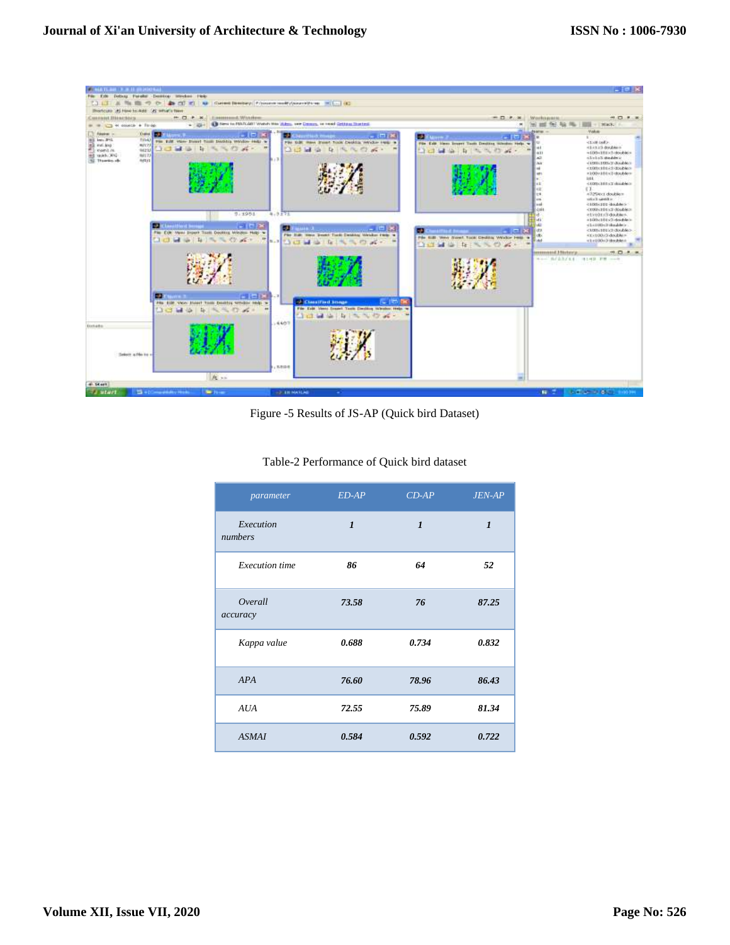

Figure -5 Results of JS-AP (Quick bird Dataset)

| parameter             | $ED-AP$      | $CD-AP$      | $JEN-AP$     |
|-----------------------|--------------|--------------|--------------|
| Execution<br>numbers  | $\mathbf{I}$ | $\mathbf{I}$ | $\mathbf{I}$ |
| <b>Execution</b> time | 86           | 64           | 52           |
| Overall<br>accuracy   | 73.58        | 76           | 87.25        |
| Kappa value           | 0.688        | 0.734        | 0.832        |
| <b>APA</b>            | 76.60        | 78.96        | 86.43        |
| <b>AUA</b>            | 72.55        | 75.89        | 81.34        |
| <b>ASMAI</b>          | 0.584        | 0.592        | 0.722        |

## Table-2 Performance of Quick bird dataset